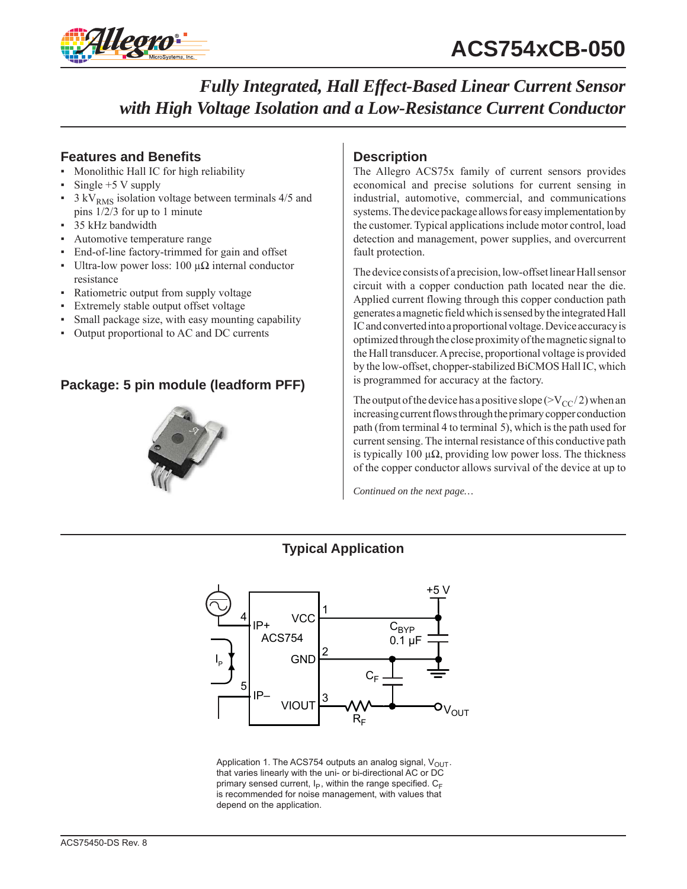

### **Features and Benefits**

- Monolithic Hall IC for high reliability
- Single  $+5$  V supply
- $3 \text{ kV}_{RMS}$  isolation voltage between terminals 4/5 and pins 1/2/3 for up to 1 minute
- 35 kHz bandwidth
- Automotive temperature range
- End-of-line factory-trimmed for gain and offset
- Ultra-low power loss: 100 μ $Ω$  internal conductor resistance
- Ratiometric output from supply voltage
- Extremely stable output offset voltage
- Small package size, with easy mounting capability
- Output proportional to AC and DC currents

### **Package: 5 pin module (leadform PFF)**



### **Description**

The Allegro ACS75x family of current sensors provides economical and precise solutions for current sensing in industrial, automotive, commercial, and communications systems. The device package allows for easy implementation by the customer. Typical applications include motor control, load detection and management, power supplies, and overcurrent fault protection.

The device consists of a precision, low-offset linear Hall sensor circuit with a copper conduction path located near the die. Applied current flowing through this copper conduction path generates a magnetic field which is sensed by the integrated Hall IC and converted into a proportional voltage. Device accuracy is optimized through the close proximity of the magnetic signal to the Hall transducer. A precise, proportional voltage is provided by the low-offset, chopper-stabilized BiCMOS Hall IC, which is programmed for accuracy at the factory.

The output of the device has a positive slope ( $>V_{CC}/2$ ) when an increasing current flows through the primary copper conduction path (from terminal 4 to terminal 5), which is the path used for current sensing. The internal resistance of this conductive path is typically 100  $\mu\Omega$ , providing low power loss. The thickness of the copper conductor allows survival of the device at up to

*Continued on the next page…*





Application 1. The ACS754 outputs an analog signal,  $V_{OUT}$ . that varies linearly with the uni- or bi-directional AC or DC primary sensed current,  $I_P$ , within the range specified.  $C_F$ is recommended for noise management, with values that depend on the application.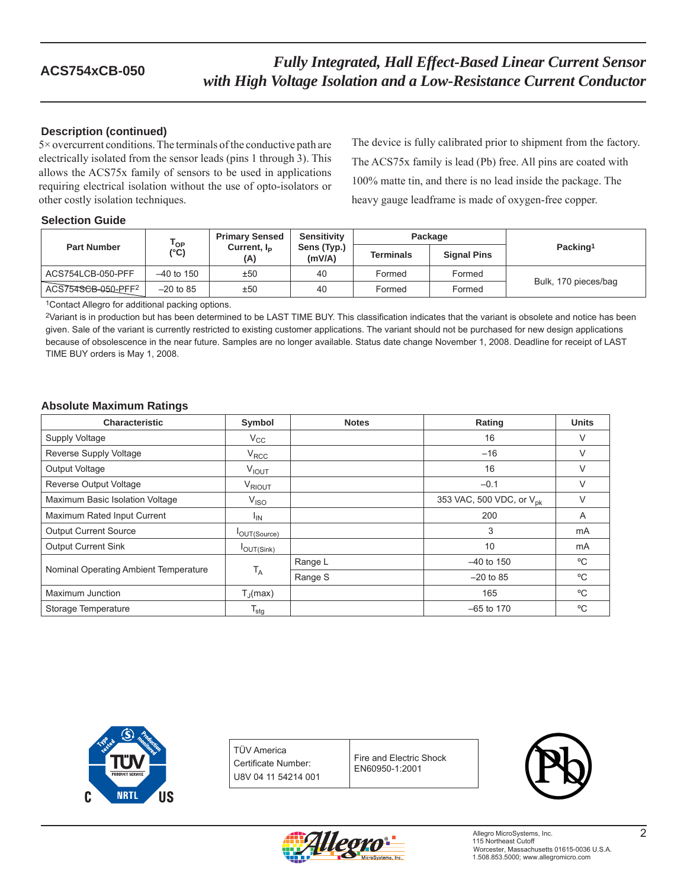### **Description (continued)**

5× overcurrent conditions. The terminals of the conductive path are electrically isolated from the sensor leads (pins 1 through 3). This allows the ACS75x family of sensors to be used in applications requiring electrical isolation without the use of opto-isolators or other costly isolation techniques.

The device is fully calibrated prior to shipment from the factory. The ACS75x family is lead (Pb) free. All pins are coated with 100% matte tin, and there is no lead inside the package. The heavy gauge leadframe is made of oxygen-free copper.

### **Selection Guide**

| <b>Part Number</b> | $\mathsf{T}_{\mathsf{OP}}$<br>(°C) | <b>Primary Sensed</b><br>Current, $I_{\rm p}$<br>(A) | <b>Sensitivity</b><br>Sens (Typ.)<br>(mV/A) | Package          |                    |                      |  |
|--------------------|------------------------------------|------------------------------------------------------|---------------------------------------------|------------------|--------------------|----------------------|--|
|                    |                                    |                                                      |                                             | <b>Terminals</b> | <b>Signal Pins</b> | Packing <sup>1</sup> |  |
| ACS754LCB-050-PFF  | $-40$ to 150                       | ±50                                                  | 40                                          | Formed           | Formed             | Bulk, 170 pieces/bag |  |
| ACS754SCB-050-PFF2 | $-20$ to 85                        | ±50                                                  | 40                                          | Formed           | Formed             |                      |  |

1Contact Allegro for additional packing options.

2Variant is in production but has been determined to be LAST TIME BUY. This classification indicates that the variant is obsolete and notice has been given. Sale of the variant is currently restricted to existing customer applications. The variant should not be purchased for new design applications because of obsolescence in the near future. Samples are no longer available. Status date change November 1, 2008. Deadline for receipt of LAST TIME BUY orders is May 1, 2008.

### **Absolute Maximum Ratings**

| <b>Characteristic</b>                 | Symbol                | <b>Notes</b> | Rating                               | <b>Units</b> |
|---------------------------------------|-----------------------|--------------|--------------------------------------|--------------|
| Supply Voltage                        | $V_{\rm CC}$          |              | 16                                   | V            |
| Reverse Supply Voltage                | $V_{RCC}$             |              | $-16$                                | V            |
| <b>Output Voltage</b>                 | $V_{IOUT}$            |              | 16                                   | V            |
| Reverse Output Voltage                | V <sub>RIOUT</sub>    |              | $-0.1$                               | V            |
| Maximum Basic Isolation Voltage       | V <sub>ISO</sub>      |              | 353 VAC, 500 VDC, or V <sub>nk</sub> | V            |
| Maximum Rated Input Current           | <sup>I</sup> IN       |              | 200                                  | A            |
| <b>Output Current Source</b>          | <b>I</b> OUT(Source)  |              | 3                                    | mA           |
| <b>Output Current Sink</b>            | <b>I</b> OUT(Sink)    |              | 10                                   | mA           |
| Nominal Operating Ambient Temperature | $T_A$                 | Range L      | $-40$ to 150                         | °C           |
|                                       |                       | Range S      | $-20$ to 85                          | °C           |
| Maximum Junction                      | $T_{\parallel}$ (max) |              | 165                                  | °C           |
| Storage Temperature                   | $T_{\text{stg}}$      |              | $-65$ to 170                         | °C           |



TÜV America Certificate Number: U8V 04 11 54214 001

Fire and Electric Shock EN60950-1:2001



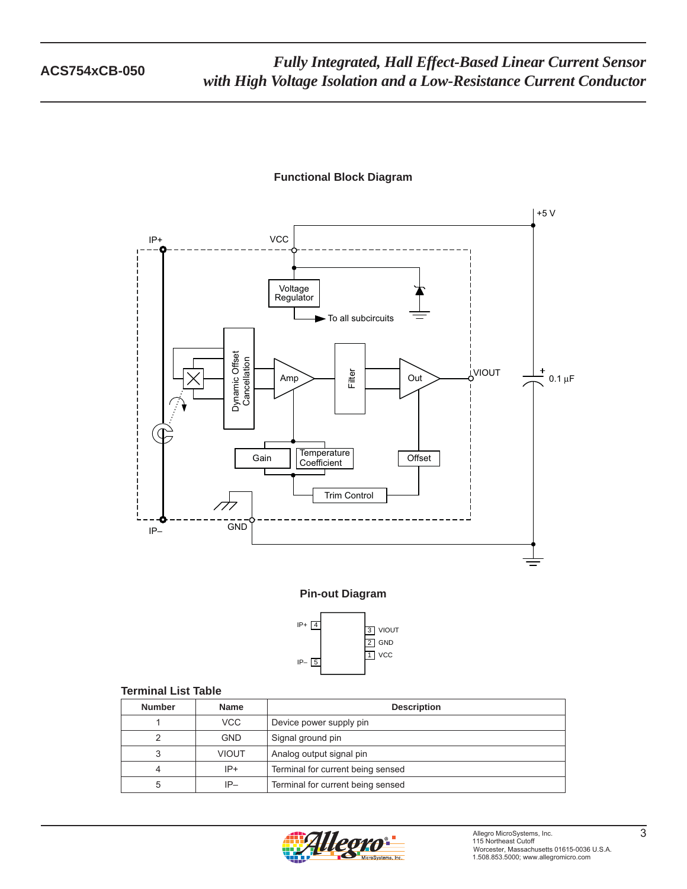# +5 V IP+ **VCC** Regulator Dynamic Offset<br>Cancellation Dynamic Offset **Cancellation** VIOUT Filter 0.1 μF  $\sim$   $\sim$   $\sim$   $\sim$   $\sim$   $\sim$ Gain Coefficient Offset Trim Control  $\sqrt{7}$ GND

### **Functional Block Diagram**

### **Pin-out Diagram**



### **Terminal List Table**

| <b>Number</b> | <b>Name</b>  | <b>Description</b>                |  |
|---------------|--------------|-----------------------------------|--|
|               | VCC.         | Device power supply pin           |  |
|               | <b>GND</b>   | Signal ground pin                 |  |
| 3             | <b>VIOUT</b> | Analog output signal pin          |  |
|               | $IP+$        | Terminal for current being sensed |  |
| 5             | $IP-$        | Terminal for current being sensed |  |

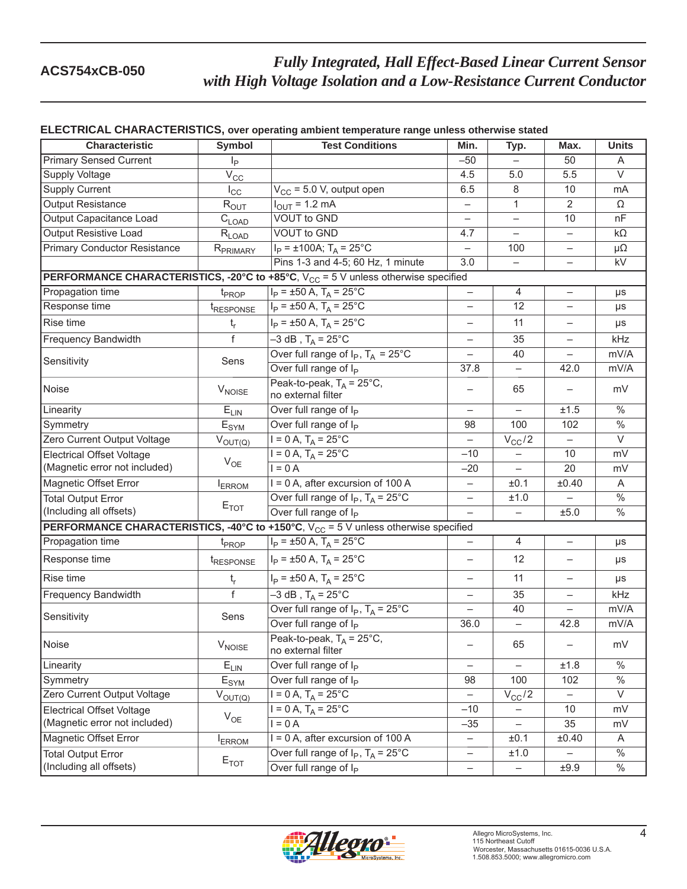### **ELECTRICAL CHARACTERISTICS, over operating ambient temperature range unless otherwise stated**

| <b>Characteristic</b>                                                                                    | <b>Symbol</b>               | <b>Test Conditions</b>                                                                               | Min.                     | Typ.                     | Max.                     | <b>Units</b>      |  |  |  |
|----------------------------------------------------------------------------------------------------------|-----------------------------|------------------------------------------------------------------------------------------------------|--------------------------|--------------------------|--------------------------|-------------------|--|--|--|
| <b>Primary Sensed Current</b>                                                                            | $I_P$                       |                                                                                                      | $-50$                    |                          | 50                       | A                 |  |  |  |
| <b>Supply Voltage</b>                                                                                    | $V_{\rm CC}$                |                                                                                                      | 4.5                      | 5.0                      | 5.5                      | $\vee$            |  |  |  |
| <b>Supply Current</b>                                                                                    | $I_{\rm CC}$                | $V_{CC}$ = 5.0 V, output open                                                                        | 6.5                      | 8                        | 10                       | mA                |  |  |  |
| <b>Output Resistance</b>                                                                                 | $R_{OUT}$                   | $I_{\text{OUT}} = 1.2 \text{ mA}$<br><b>VOUT to GND</b>                                              |                          | 1                        | $\overline{2}$           | Ω                 |  |  |  |
| Output Capacitance Load                                                                                  | $C_{\text{LOAD}}$           |                                                                                                      |                          | $\overline{\phantom{0}}$ | 10                       | nF                |  |  |  |
| Output Resistive Load                                                                                    | $R_{LOAD}$                  | <b>VOUT to GND</b>                                                                                   | 4.7                      | $\overline{\phantom{0}}$ | $\qquad \qquad -$        | $k\Omega$         |  |  |  |
| <b>Primary Conductor Resistance</b>                                                                      | R <sub>PRIMARY</sub>        | $I_P = \pm 100A$ ; $T_A = 25^{\circ}C$                                                               | -                        | 100                      | $\overline{\phantom{0}}$ | $\mu\Omega$       |  |  |  |
|                                                                                                          |                             | Pins 1-3 and 4-5; 60 Hz, 1 minute                                                                    | 3.0                      | $\overline{\phantom{0}}$ | $\overline{\phantom{0}}$ | kV                |  |  |  |
| <b>PERFORMANCE CHARACTERISTICS, -20°C to +85°C, <math>V_{CC}</math> = 5 V unless otherwise specified</b> |                             |                                                                                                      |                          |                          |                          |                   |  |  |  |
| Propagation time                                                                                         | t <sub>PROP</sub>           | $I_P = \pm 50 A$ , $T_A = 25^{\circ}C$                                                               |                          | 4                        | $\overline{\phantom{0}}$ | μs                |  |  |  |
| Response time                                                                                            | t <sub>RESPONSE</sub>       | $I_P = \pm 50$ A, $T_A = 25$ °C                                                                      | $\overline{\phantom{0}}$ | 12                       |                          | μs                |  |  |  |
| Rise time                                                                                                | $t_r$                       | $I_P = \pm 50$ A, $T_A = 25$ °C                                                                      | $\qquad \qquad -$        | 11                       | $\qquad \qquad -$        | $\mu s$           |  |  |  |
| Frequency Bandwidth                                                                                      | $\overline{f}$              | $-3$ dB, T <sub>A</sub> = 25 <sup>°</sup> C                                                          |                          | 35                       |                          | kHz               |  |  |  |
| Sensitivity                                                                                              | Sens                        | Over full range of $I_P$ , $T_A = 25^{\circ}$ C                                                      | $\overline{\phantom{0}}$ | 40                       | $\overline{\phantom{0}}$ | mV/A              |  |  |  |
|                                                                                                          |                             | Over full range of Ip                                                                                | 37.8                     | $\qquad \qquad -$        | 42.0                     | mV/A              |  |  |  |
| Noise                                                                                                    | <b>V<sub>NOISE</sub></b>    | Peak-to-peak, $T_A = 25^{\circ}C$ ,<br>no external filter                                            |                          | 65                       |                          | mV                |  |  |  |
| Linearity                                                                                                | $E_{LIN}$                   | Over full range of $I_P$                                                                             | $\overline{\phantom{0}}$ | $\overline{\phantom{0}}$ | ±1.5                     | $\frac{0}{6}$     |  |  |  |
| Symmetry                                                                                                 | $\mathsf{E}_{\mathsf{SYM}}$ | Over full range of I <sub>P</sub>                                                                    | 98                       | 100                      | 102                      | $\frac{0}{6}$     |  |  |  |
| Zero Current Output Voltage                                                                              | $V_{OUT(Q)}$                | $I = 0 A$ , $T_A = 25^{\circ}C$                                                                      | $\overline{\phantom{0}}$ | $V_{CC}/2$               | $\overline{\phantom{0}}$ | $\overline{\vee}$ |  |  |  |
| <b>Electrical Offset Voltage</b>                                                                         | $V_{OE}$                    | $I = 0 A$ , $T_A = 25^{\circ}C$                                                                      | $-10$                    |                          | 10                       | mV                |  |  |  |
| (Magnetic error not included)                                                                            |                             | $I = 0$ A                                                                                            | $-20$                    | $\overline{\phantom{0}}$ | 20                       | mV                |  |  |  |
| <b>Magnetic Offset Error</b>                                                                             | <b>I</b> ERROM              | I = 0 A, after excursion of 100 A                                                                    | $\qquad \qquad -$        | ±0.1                     | ±0.40                    | A                 |  |  |  |
| <b>Total Output Error</b>                                                                                | $E_{TOT}$                   | Over full range of $I_P$ , $T_A = 25^{\circ}$ C                                                      | $\qquad \qquad -$        | ±1.0                     |                          | $\%$              |  |  |  |
| (Including all offsets)                                                                                  |                             | Over full range of I <sub>P</sub>                                                                    | $\equiv$                 | ÷.                       | ±5.0                     | $\%$              |  |  |  |
|                                                                                                          |                             | <b>PERFORMANCE CHARACTERISTICS, -40°C to +150°C, V<sub>CC</sub> = 5 V unless otherwise specified</b> |                          |                          |                          |                   |  |  |  |
| Propagation time                                                                                         | $t_{\text{PROP}}$           | $I_P = \pm 50 A$ , $T_A = 25^{\circ}C$                                                               | -                        | 4                        | $\overline{\phantom{0}}$ | μs                |  |  |  |
| Response time                                                                                            | <i><b>TRESPONSE</b></i>     | $I_P$ = ±50 A, T <sub>A</sub> = 25°C                                                                 | $\overline{\phantom{0}}$ | 12                       | $\qquad \qquad -$        | μs                |  |  |  |
| Rise time                                                                                                | $t_{r}$                     | $I_P = \pm 50$ A, $T_A = 25$ °C                                                                      | $\overline{\phantom{0}}$ | 11                       | $\overline{\phantom{0}}$ | $\mu s$           |  |  |  |
| <b>Frequency Bandwidth</b>                                                                               | $\overline{f}$              | $-3$ dB, T <sub>A</sub> = 25 <sup>°</sup> C                                                          | ÷.                       | 35                       | $\overline{\phantom{0}}$ | kHz               |  |  |  |
|                                                                                                          | Sens                        | Over full range of $I_P$ , $T_A = 25^{\circ}$ C                                                      |                          | 40                       |                          | mV/A              |  |  |  |
| Sensitivity                                                                                              |                             | Over full range of I <sub>P</sub>                                                                    | 36.0                     | $\overline{\phantom{0}}$ | 42.8                     | mV/A              |  |  |  |
| Noise                                                                                                    | $V_{\text{NOISE}}$          | Peak-to-peak, $T_A = 25^{\circ}C$ ,<br>no external filter                                            | -                        | 65                       | $\qquad \qquad -$        | mV                |  |  |  |
| Linearity                                                                                                | $E_{LIN}$                   | Over full range of I <sub>P</sub>                                                                    | $\overline{\phantom{0}}$ |                          | ±1.8                     | $\%$              |  |  |  |
| Symmetry                                                                                                 | $E_{\text{SYM}}$            | Over full range of I <sub>P</sub>                                                                    | 98                       | 100                      | 102                      | $\%$              |  |  |  |
| Zero Current Output Voltage                                                                              | $V_{OUT(Q)}$                | $I = 0 A$ , $T_A = 25^{\circ}$ C                                                                     | $\overline{\phantom{0}}$ | $V_{CC}/2$               | $\qquad \qquad -$        | V                 |  |  |  |
| <b>Electrical Offset Voltage</b>                                                                         |                             | $I = 0 A$ , $T_A = 25^{\circ}$ C                                                                     | $-10$                    |                          | 10                       | mV                |  |  |  |
| (Magnetic error not included)                                                                            | $V_{OE}$                    | $I = 0$ A                                                                                            | $-35$                    |                          | 35                       | mV                |  |  |  |
| <b>Magnetic Offset Error</b>                                                                             | <b>ERROM</b>                | I = 0 A, after excursion of 100 A                                                                    | $\qquad \qquad -$        | ±0.1                     | ±0.40                    | A                 |  |  |  |
| <b>Total Output Error</b>                                                                                | $E_{TOT}$                   | Over full range of $I_P$ , $T_A = 25^{\circ}$ C                                                      | $\qquad \qquad -$        | ±1.0                     |                          | $\%$              |  |  |  |
| (Including all offsets)                                                                                  |                             | Over full range of $I_P$                                                                             | -                        |                          | ±9.9                     | $\frac{0}{2}$     |  |  |  |

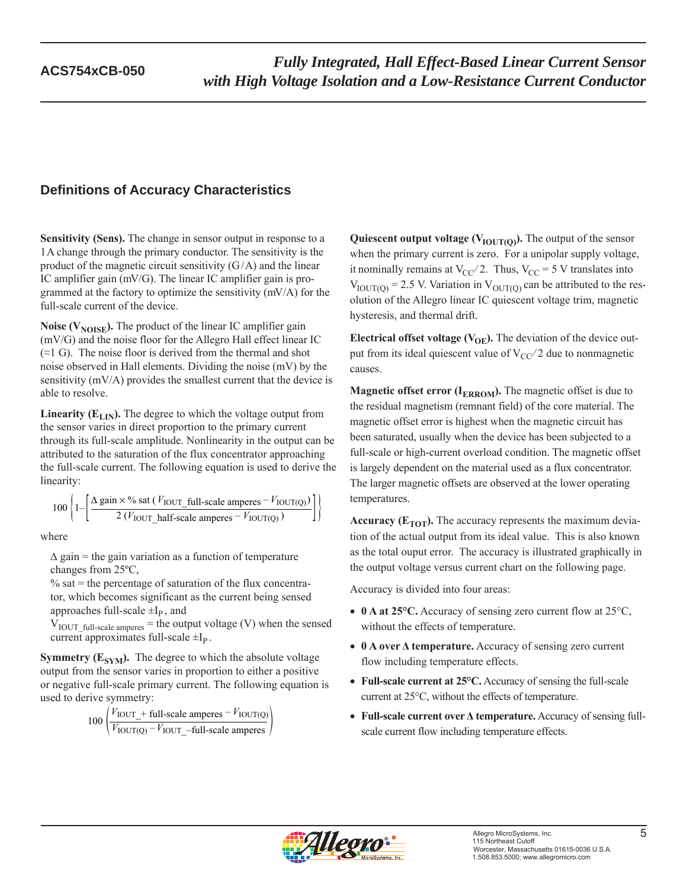## **Definitions of Accuracy Characteristics**

**Sensitivity (Sens).** The change in sensor output in response to a 1 A change through the primary conductor. The sensitivity is the product of the magnetic circuit sensitivity  $(G/A)$  and the linear IC amplifier gain (mV/G). The linear IC amplifier gain is programmed at the factory to optimize the sensitivity (mV/A) for the full-scale current of the device.

**Noise (** $V_{\text{NOISE}}$ **).** The product of the linear IC amplifier gain (mV/G) and the noise floor for the Allegro Hall effect linear IC  $(\approx 1 \text{ G})$ . The noise floor is derived from the thermal and shot noise observed in Hall elements. Dividing the noise (mV) by the sensitivity (mV/A) provides the smallest current that the device is able to resolve.

**Linearity (** $E_{LIN}$ **).** The degree to which the voltage output from the sensor varies in direct proportion to the primary current through its full-scale amplitude. Nonlinearity in the output can be attributed to the saturation of the flux concentrator approaching the full-scale current. The following equation is used to derive the linearity:

$$
100\left\{1-\left[\frac{\Delta \text{ gain} \times \% \text{ sat } (V_{\text{IOUT\_full-scale amperes}} - V_{\text{IOUT(Q)}})}{2 (V_{\text{IOUT\_half-scale amperes}} - V_{\text{IOUT(Q)}})}\right]\right\}
$$

where

 $\Delta$  gain = the gain variation as a function of temperature changes from 25ºC,

 $\%$  sat = the percentage of saturation of the flux concentrator, which becomes significant as the current being sensed approaches full-scale  $\pm I_{P}$ , and

 $V_{\text{IOUT}\_full\text{-scale amperes}}$  = the output voltage (V) when the sensed current approximates full-scale  $\pm I_p$ .

**Symmetry (** $E_{SYM}$ **).** The degree to which the absolute voltage output from the sensor varies in proportion to either a positive or negative full-scale primary current. The following equation is used to derive symmetry:

$$
100\left(\frac{V_{\text{IOUT\_}} + \text{full-scale amperes} - V_{\text{IOUT(Q)}}}{V_{\text{IOUT(Q)}} - V_{\text{IOUT\_}} - \text{full-scale amperes}}\right)
$$

**Quiescent output voltage (** $V_{\text{IOUT(O)}}$ **).** The output of the sensor when the primary current is zero. For a unipolar supply voltage, it nominally remains at  $V_{CC}/2$ . Thus,  $V_{CC} = 5$  V translates into  $V_{\text{IOUT(O)}} = 2.5$  V. Variation in  $V_{\text{OUT(O)}}$  can be attributed to the resolution of the Allegro linear IC quiescent voltage trim, magnetic hysteresis, and thermal drift.

**Electrical offset voltage (** $V_{OE}$ **).** The deviation of the device output from its ideal quiescent value of  $V_{CC}/2$  due to nonmagnetic causes.

**Magnetic offset error (** $I_{ERROM}$ **).** The magnetic offset is due to the residual magnetism (remnant field) of the core material. The magnetic offset error is highest when the magnetic circuit has been saturated, usually when the device has been subjected to a full-scale or high-current overload condition. The magnetic offset is largely dependent on the material used as a flux concentrator. The larger magnetic offsets are observed at the lower operating temperatures.

**Accuracy (** $E_{TOT}$ **).** The accuracy represents the maximum deviation of the actual output from its ideal value. This is also known as the total ouput error. The accuracy is illustrated graphically in the output voltage versus current chart on the following page.

Accuracy is divided into four areas:

- 0 A at 25°C. Accuracy of sensing zero current flow at 25°C, without the effects of temperature.
- **0 A over Δ temperature.** Accuracy of sensing zero current flow including temperature effects.
- **Full-scale current at 25°C.** Accuracy of sensing the full-scale current at 25°C, without the effects of temperature.
- **Full-scale current over Δ temperature.** Accuracy of sensing fullscale current flow including temperature effects.

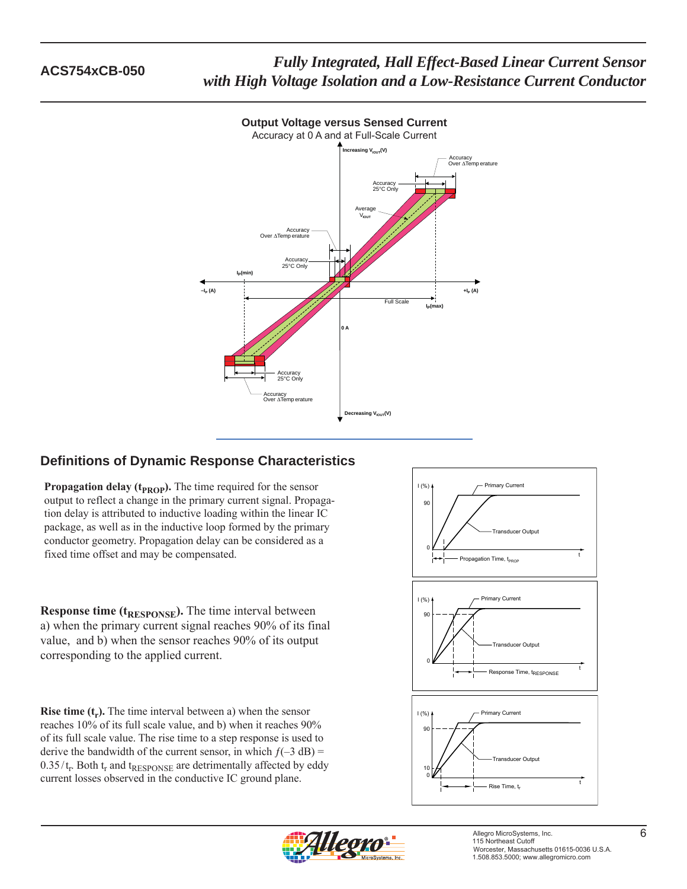

# **Output Voltage versus Sensed Current**

### **Definitions of Dynamic Response Characteristics**

**Propagation delay (** $t_{\text{PROP}}$ **).** The time required for the sensor output to reflect a change in the primary current signal. Propagation delay is attributed to inductive loading within the linear IC package, as well as in the inductive loop formed by the primary conductor geometry. Propagation delay can be considered as a fixed time offset and may be compensated.

**Response time (t<sub>RESPONSE</sub>).** The time interval between a) when the primary current signal reaches 90% of its final value, and b) when the sensor reaches 90% of its output corresponding to the applied current.

**Rise time (t<sub>r</sub>).** The time interval between a) when the sensor reaches 10% of its full scale value, and b) when it reaches 90% of its full scale value. The rise time to a step response is used to derive the bandwidth of the current sensor, in which  $f(-3 dB) =$  $0.35/t_r$ . Both  $t_r$  and  $t_{RESPONSE}$  are detrimentally affected by eddy current losses observed in the conductive IC ground plane.



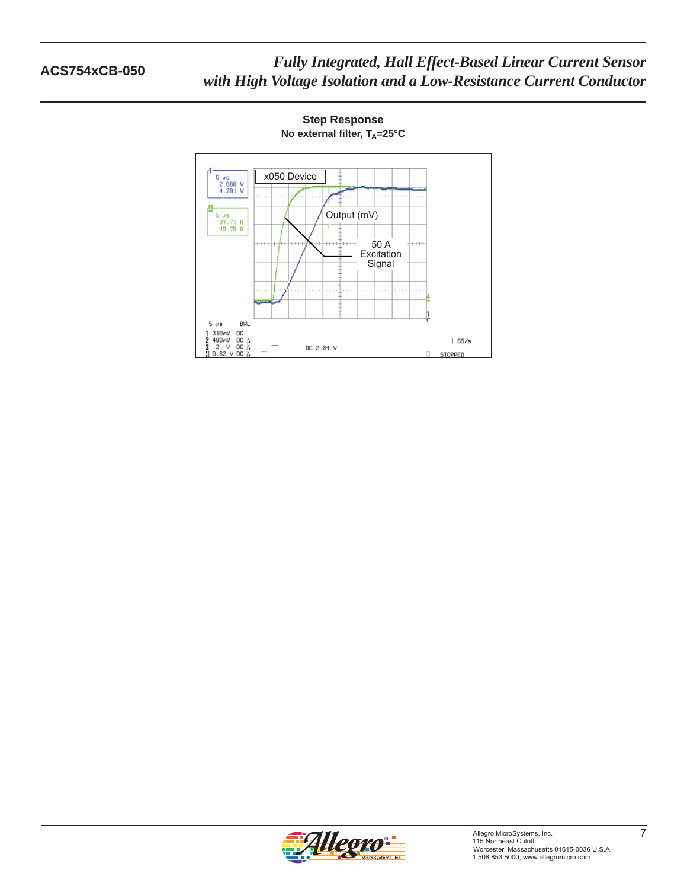

**Step Response No external filter, T<sub>A</sub>=25°C**